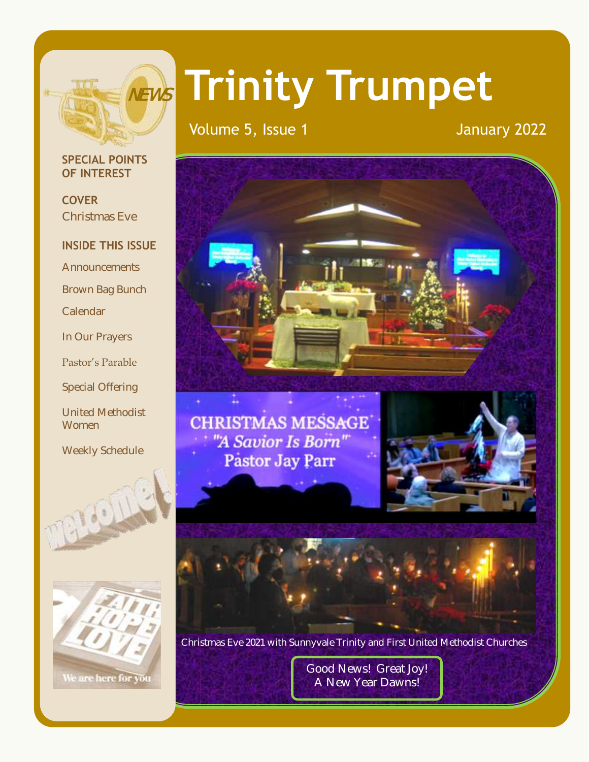

# **Trinity Trumpet**

Volume 5, Issue 1 January 2022

#### **SPECIAL POINTS OF INTEREST**

**COVER** Christmas Eve

#### **INSIDE THIS ISSUE**

**Announcements** 

Brown Bag Bunch

Calendar

In Our Prayers

Pastor's Parable

Special Offering

United Methodist Women

Weekly Schedule





**CHRISTMAS MESSAGE** "A Savior Is Born" Pastor Jay Parr





Christmas Eve 2021 with Sunnyvale Trinity and First United Methodist Churches

Good News! Great Joy! A New Year Dawns!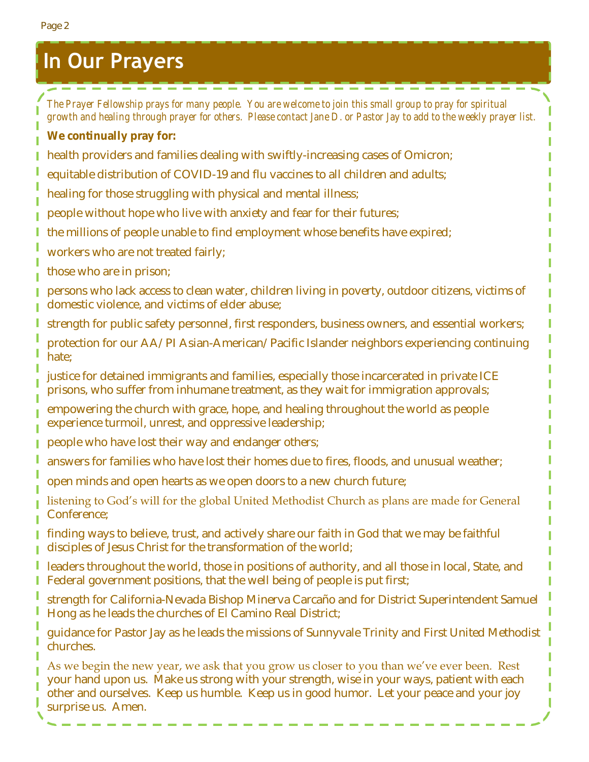Page 2

- *The Prayer Fellowship prays for many people. You are welcome to join this small group to pray for spiritual growth and healing through prayer for others. Please contact Jane D. or Pastor Jay to add to the weekly prayer list.* **We continually pray for:**
- health providers and families dealing with swiftly-increasing cases of Omicron;

-----------

- equitable distribution of COVID-19 and flu vaccines to all children and adults;
- healing for those struggling with physical and mental illness;
- people without hope who live with anxiety and fear for their futures;
- the millions of people unable to find employment whose benefits have expired;
- workers who are not treated fairly;
- those who are in prison;
- persons who lack access to clean water, children living in poverty, outdoor citizens, victims of domestic violence, and victims of elder abuse;
- strength for public safety personnel, first responders, business owners, and essential workers;
- protection for our AA/PI Asian-American/Pacific Islander neighbors experiencing continuing hate;
- justice for detained immigrants and families, especially those incarcerated in private ICE prisons, who suffer from inhumane treatment, as they wait for immigration approvals;
- empowering the church with grace, hope, and healing throughout the world as people experience turmoil, unrest, and oppressive leadership;
- people who have lost their way and endanger others;
- answers for families who have lost their homes due to fires, floods, and unusual weather;
- open minds and open hearts as we open doors to a new church future;
- listening to God's will for the global United Methodist Church as plans are made for General Conference;
- finding ways to believe, trust, and actively share our faith in God that we may be faithful disciples of Jesus Christ for the transformation of the world;
- leaders throughout the world, those in positions of authority, and all those in local, State, and Federal government positions, that the well being of people is put first;
- strength for California-Nevada Bishop Minerva Carcaño and for District Superintendent Samuel Hong as he leads the churches of El Camino Real District;
- guidance for Pastor Jay as he leads the missions of Sunnyvale Trinity and First United Methodist churches.
- As we begin the new year, we ask that you grow us closer to you than we've ever been. Rest your hand upon us. Make us strong with your strength, wise in your ways, patient with each other and ourselves. Keep us humble. Keep us in good humor. Let your peace and your joy surprise us. Amen.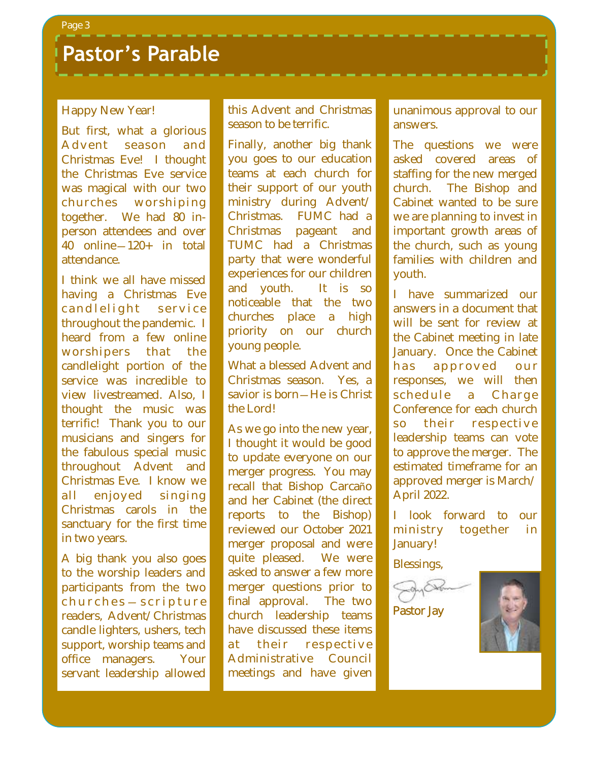### **Pastor's Parable**

#### Happy New Year!

But first, what a glorious Advent season and Christmas Eve! I thought the Christmas Eve service was magical with our two churches worshiping together. We had 80 inperson attendees and over 40 online—120+ in total attendance.

I think we all have missed having a Christmas Eve cand lelight service throughout the pandemic. I heard from a few online worshipers that the candlelight portion of the service was incredible to view livestreamed. Also, I thought the music was terrific! Thank you to our musicians and singers for the fabulous special music throughout Advent and Christmas Eve. I know we all enjoyed singing Christmas carols in the sanctuary for the first time in two years.

A big thank you also goes to the worship leaders and participants from the two c h u r c h e s — s c r i p t u r e readers, Advent/Christmas candle lighters, ushers, tech support, worship teams and office managers. Your servant leadership allowed this Advent and Christmas season to be terrific.

Finally, another big thank you goes to our education teams at each church for their support of our youth ministry during Advent/ Christmas. FUMC had a Christmas pageant and TUMC had a Christmas party that were wonderful experiences for our children and youth. It is so noticeable that the two churches place a high priority on our church young people.

What a blessed Advent and Christmas season. Yes, a savior is born - He is Christ the Lord!

As we go into the new year, I thought it would be good to update everyone on our merger progress. You may recall that Bishop Carcaño and her Cabinet (the direct reports to the Bishop) reviewed our October 2021 merger proposal and were quite pleased. We were asked to answer a few more merger questions prior to final approval. The two church leadership teams have discussed these items at their respective Administrative Council meetings and have given

unanimous approval to our answers.

The questions we were asked covered areas of staffing for the new merged church. The Bishop and Cabinet wanted to be sure we are planning to invest in important growth areas of the church, such as young families with children and youth.

I have summarized our answers in a document that will be sent for review at the Cabinet meeting in late January. Once the Cabinet has approved our responses, we will then schedule a Charge Conference for each church so their respective leadership teams can vote to approve the merger. The estimated timeframe for an approved merger is March/ April 2022.

I look forward to our ministry together in January!

Blessings,



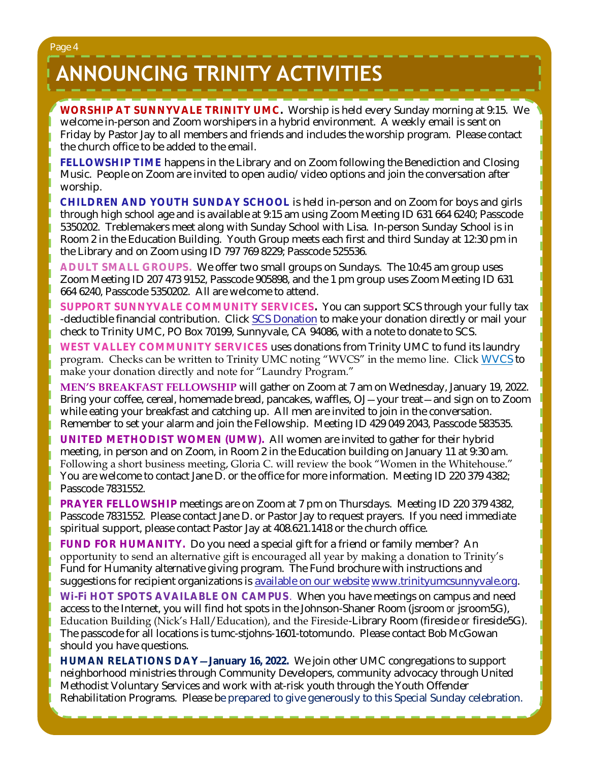Page 4

# **ANNOUNCING TRINITY ACTIVITIES**

**WORSHIP AT SUNNYVALE TRINITY UMC.** Worship is held every Sunday morning at 9:15. We welcome in-person and Zoom worshipers in a hybrid environment. A weekly email is sent on Friday by Pastor Jay to all members and friends and includes the worship program. Please contact the church office to be added to the email.

**FELLOWSHIP TIME** happens in the Library and on Zoom following the Benediction and Closing Music. People on Zoom are invited to open audio/video options and join the conversation after worship.

**CHILDREN AND YOUTH SUNDAY SCHOOL** is held in-person and on Zoom for boys and girls through high school age and is available at 9:15 am using Zoom Meeting ID 631 664 6240; Passcode 5350202. Treblemakers meet along with Sunday School with Lisa. In-person Sunday School is in Room 2 in the Education Building. Youth Group meets each first and third Sunday at 12:30 pm in the Library and on Zoom using ID 797 769 8229; Passcode 525536.

**ADULT SMALL GROUPS.** We offer two small groups on Sundays. The 10:45 am group uses Zoom Meeting ID 207 473 9152, Passcode 905898, and the 1 pm group uses Zoom Meeting ID 631 664 6240, Passcode 5350202. All are welcome to attend.

**SUPPORT SUNNYVALE COMMUNITY SERVICES.** You can support SCS through your fully tax -deductible financial contribution. Click [SCS Donation](https://svcommunityservices.org/donate-online/) to make your donation directly or mail your check to Trinity UMC, PO Box 70199, Sunnyvale, CA 94086, with a note to donate to SCS.

**WEST VALLEY COMMUNITY SERVICES** uses donations from Trinity UMC to fund its laundry program. Checks can be written to Trinity UMC noting "WVCS" in the memo line. Click [WVCS](https://www.wvcommunityservices.org/donate-now-covid19) to make your donation directly and note for "Laundry Program."

**MEN'S BREAKFAST FELLOWSHIP** will gather on Zoom at 7 am on Wednesday, January 19, 2022. Bring your coffee, cereal, homemade bread, pancakes, waffles, OJ—your treat—and sign on to Zoom while eating your breakfast and catching up. All men are invited to join in the conversation. Remember to set your alarm and join the Fellowship. Meeting ID 429 049 2043, Passcode 583535.

**UNITED METHODIST WOMEN (UMW).** All women are invited to gather for their hybrid meeting, in person and on Zoom, in Room 2 in the Education building on January 11 at 9:30 am. Following a short business meeting, Gloria C. will review the book "Women in the Whitehouse." You are welcome to contact Jane D. or the office for more information. Meeting ID 220 379 4382; Passcode 7831552.

**PRAYER FELLOWSHIP** meetings are on Zoom at 7 pm on Thursdays. Meeting ID 220 379 4382, Passcode 7831552. Please contact Jane D. or Pastor Jay to request prayers. If you need immediate spiritual support, please contact Pastor Jay at 408.621.1418 or the church office.

**FUND FOR HUMANITY.** Do you need a special gift for a friend or family member? An opportunity to send an alternative gift is encouraged all year by making a donation to Trinity's Fund for Humanity alternative giving program. The Fund brochure with instructions and suggestions for recipient organizations is [available on our website](http://www.trinityumcsunnyvale.org/docs/Images/2020%20Web%20Fund%20for%20Humanity.pdf) [www.trinityumcsunnyvale.org.](http://www.trinityumcsunnyvale.org)

**Wi-Fi HOT SPOTS AVAILABLE ON CAMPUS**. When you have meetings on campus and need access to the Internet, you will find hot spots in the Johnson-Shaner Room (jsroom *or* jsroom5G), Education Building (Nick's Hall/Education), and the Fireside-Library Room (fireside *or* fireside5G). The passcode for all locations is tumc-stjohns-1601-totomundo. Please contact Bob McGowan should you have questions.

**HUMAN RELATIONS DAY—January 16, 2022.** We join other UMC congregations to support neighborhood ministries through Community Developers, community advocacy through United Methodist Voluntary Services and work with at-risk youth through the Youth Offender Rehabilitation Programs. Please be prepared to give generously to this Special Sunday celebration.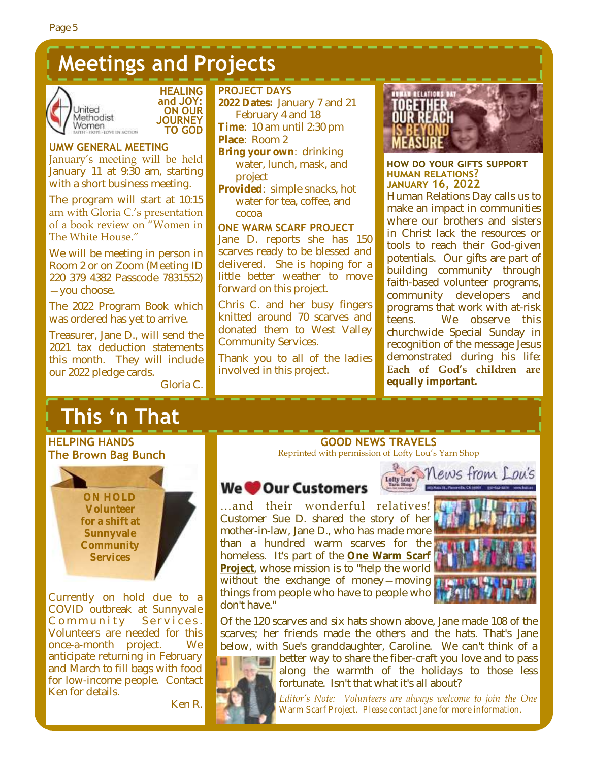## **Meetings and Projects**





**UMW GENERAL MEETING** January's meeting will be held January 11 at 9:30 am, starting with a short business meeting.

The program will start at 10:15 am with Gloria C.'s presentation of a book review on "Women in The White House."

We will be meeting in person in Room 2 or on Zoom (Meeting ID 220 379 4382 Passcode 7831552) —you choose.

The 2022 Program Book which was ordered has yet to arrive.

Treasurer, Jane D., will send the 2021 tax deduction statements this month. They will include our 2022 pledge cards.

Gloria C.

#### **PROJECT DAYS**

- **2022 Dates:** January 7 and 21 February 4 and 18
- **Time**: 10 am until 2:30 pm
- **Place**: Room 2
- **Bring your own**: drinking water, lunch, mask, and project
- **Provided**: simple snacks, hot water for tea, coffee, and cocoa

#### **ONE WARM SCARF PROJECT**

Jane D. reports she has 150 scarves ready to be blessed and delivered. She is hoping for a little better weather to move forward on this project.

Chris C. and her busy fingers knitted around 70 scarves and donated them to West Valley Community Services.

Thank you to all of the ladies involved in this project.



#### **how do your gifts support human relations? january 16, 2022**

Human Relations Day calls us to make an impact in communities where our brothers and sisters in Christ lack the resources or tools to reach their God-given potentials. Our gifts are part of building community through faith-based volunteer programs, community developers and programs that work with at-risk teens. We observe this churchwide Special Sunday in recognition of the message Jesus demonstrated during his life: **Each of God's children are equally important.**

# **This 'n That**

#### **HELPING HANDS The Brown Bag Bunch**

**ON HOLD Volunteer for a shift at Sunnyvale Community Services** 

Currently on hold due to a COVID outbreak at Sunnyvale Community Services. Volunteers are needed for this once-a-month project. We anticipate returning in February and March to fill bags with food for low-income people. Contact Ken for details.

Ken R.

#### **GOOD NEWS TRAVELS** Reprinted with permission of Lofty Lou's Yarn Shop

Lofty Lou's

#### **We Our Customers**

…and their wonderful relatives! Customer Sue D. shared the story of her mother-in-law, Jane D., who has made more than a hundred warm scarves for the homeless. It's part of the **[One Warm Scarf](https://r20.rs6.net/tn.jsp?f=001NotWQ_2hqOtKaWGSRRoKzP6vDQIcribRFlHn1Y0JHEVliDkLuoe4s-ldP9o09C0_10NhKeijxWp2Ej1eNxbLH7UU7p3o92MPxZaztPGTFRYrdOAWARXeC3PC3jwzIbetSteqM7Qn74jxnUwJbqrowA==&c=tp2Vx6hUZObF_HUCxGeIxfmgnfwLpT3eE12IF6AsrMRTHJeu4a0o7g==&ch=ka7diK4RhDpW)  [Project](https://r20.rs6.net/tn.jsp?f=001NotWQ_2hqOtKaWGSRRoKzP6vDQIcribRFlHn1Y0JHEVliDkLuoe4s-ldP9o09C0_10NhKeijxWp2Ej1eNxbLH7UU7p3o92MPxZaztPGTFRYrdOAWARXeC3PC3jwzIbetSteqM7Qn74jxnUwJbqrowA==&c=tp2Vx6hUZObF_HUCxGeIxfmgnfwLpT3eE12IF6AsrMRTHJeu4a0o7g==&ch=ka7diK4RhDpW)**, whose mission is to "help the world without the exchange of money—moving things from people who have to people who  $\mathbb I$ don't have."



 $RWS$  from  $MSS$ 

Of the 120 scarves and six hats shown above, Jane made 108 of the scarves; her friends made the others and the hats. That's Jane below, with Sue's granddaughter, Caroline. We can't think of a



better way to share the fiber-craft you love and to pass along the warmth of the holidays to those less fortunate. Isn't that what it's all about?

*Editor's Note: Volunteers are always welcome to join the One Warm Scarf Project. Please contact Jane for more information.*